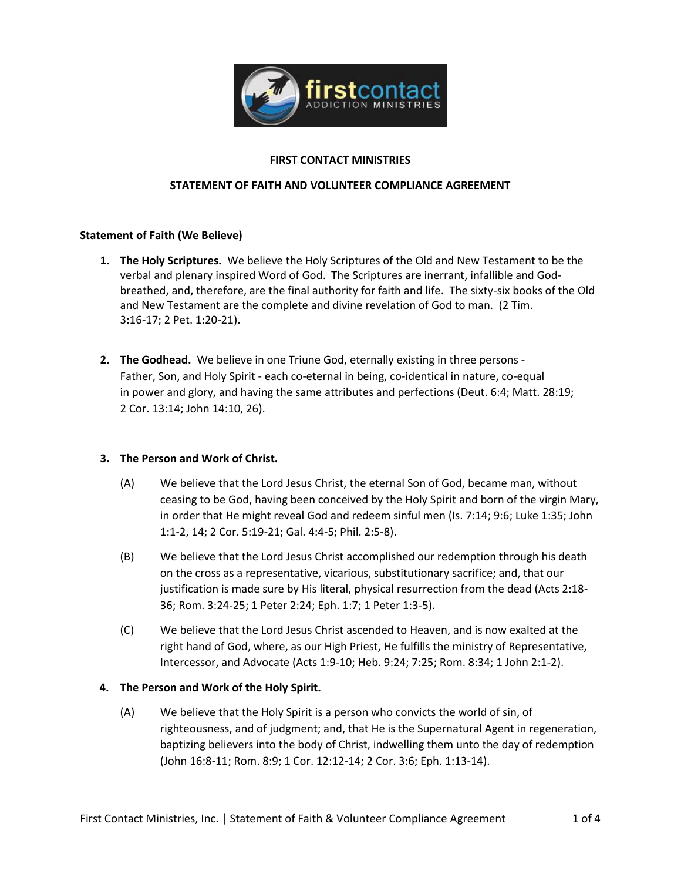

### **FIRST CONTACT MINISTRIES**

#### **STATEMENT OF FAITH AND VOLUNTEER COMPLIANCE AGREEMENT**

#### **Statement of Faith (We Believe)**

- **1. The Holy Scriptures.** We believe the Holy Scriptures of the Old and New Testament to be the verbal and plenary inspired Word of God. The Scriptures are inerrant, infallible and Godbreathed, and, therefore, are the final authority for faith and life. The sixty-six books of the Old and New Testament are the complete and divine revelation of God to man. (2 Tim. 3:16-17; 2 Pet. 1:20-21).
- **2. The Godhead.** We believe in one Triune God, eternally existing in three persons Father, Son, and Holy Spirit - each co-eternal in being, co-identical in nature, co-equal in power and glory, and having the same attributes and perfections (Deut. 6:4; Matt. 28:19; 2 Cor. 13:14; John 14:10, 26).

## **3. The Person and Work of Christ.**

- (A) We believe that the Lord Jesus Christ, the eternal Son of God, became man, without ceasing to be God, having been conceived by the Holy Spirit and born of the virgin Mary, in order that He might reveal God and redeem sinful men (Is. 7:14; 9:6; Luke 1:35; John 1:1-2, 14; 2 Cor. 5:19-21; Gal. 4:4-5; Phil. 2:5-8).
- (B) We believe that the Lord Jesus Christ accomplished our redemption through his death on the cross as a representative, vicarious, substitutionary sacrifice; and, that our justification is made sure by His literal, physical resurrection from the dead (Acts 2:18- 36; Rom. 3:24-25; 1 Peter 2:24; Eph. 1:7; 1 Peter 1:3-5).
- (C) We believe that the Lord Jesus Christ ascended to Heaven, and is now exalted at the right hand of God, where, as our High Priest, He fulfills the ministry of Representative, Intercessor, and Advocate (Acts 1:9-10; Heb. 9:24; 7:25; Rom. 8:34; 1 John 2:1-2).

## **4. The Person and Work of the Holy Spirit.**

(A) We believe that the Holy Spirit is a person who convicts the world of sin, of righteousness, and of judgment; and, that He is the Supernatural Agent in regeneration, baptizing believers into the body of Christ, indwelling them unto the day of redemption (John 16:8-11; Rom. 8:9; 1 Cor. 12:12-14; 2 Cor. 3:6; Eph. 1:13-14).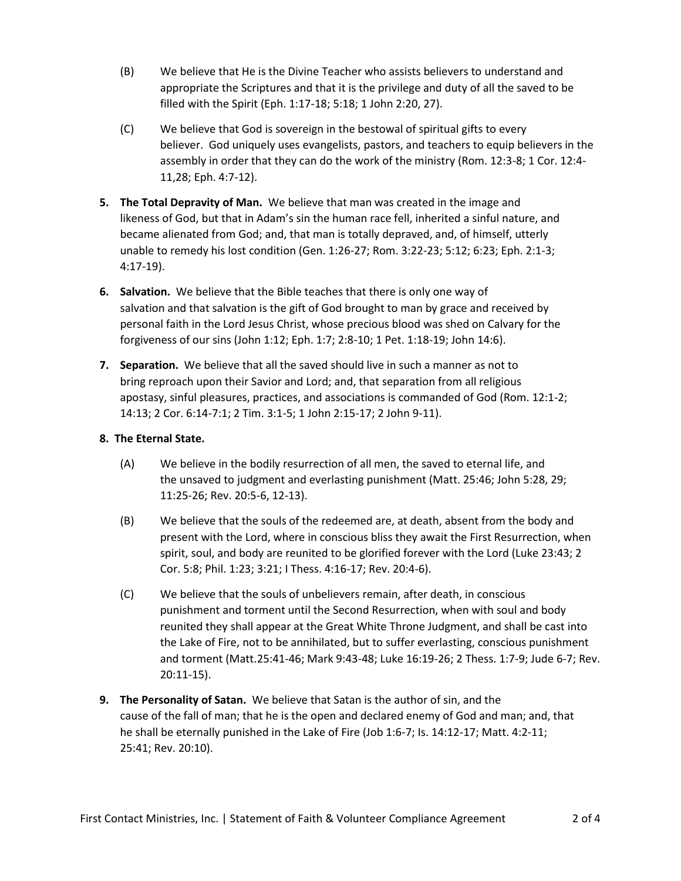- (B) We believe that He is the Divine Teacher who assists believers to understand and appropriate the Scriptures and that it is the privilege and duty of all the saved to be filled with the Spirit (Eph. 1:17-18; 5:18; 1 John 2:20, 27).
- (C) We believe that God is sovereign in the bestowal of spiritual gifts to every believer. God uniquely uses evangelists, pastors, and teachers to equip believers in the assembly in order that they can do the work of the ministry (Rom. 12:3-8; 1 Cor. 12:4- 11,28; Eph. 4:7-12).
- **5. The Total Depravity of Man.** We believe that man was created in the image and likeness of God, but that in Adam's sin the human race fell, inherited a sinful nature, and became alienated from God; and, that man is totally depraved, and, of himself, utterly unable to remedy his lost condition (Gen. 1:26-27; Rom. 3:22-23; 5:12; 6:23; Eph. 2:1-3; 4:17-19).
- **6. Salvation.** We believe that the Bible teaches that there is only one way of salvation and that salvation is the gift of God brought to man by grace and received by personal faith in the Lord Jesus Christ, whose precious blood was shed on Calvary for the forgiveness of our sins (John 1:12; Eph. 1:7; 2:8-10; 1 Pet. 1:18-19; John 14:6).
- **7. Separation.** We believe that all the saved should live in such a manner as not to bring reproach upon their Savior and Lord; and, that separation from all religious apostasy, sinful pleasures, practices, and associations is commanded of God (Rom. 12:1-2; 14:13; 2 Cor. 6:14-7:1; 2 Tim. 3:1-5; 1 John 2:15-17; 2 John 9-11).

# **8. The Eternal State.**

- (A) We believe in the bodily resurrection of all men, the saved to eternal life, and the unsaved to judgment and everlasting punishment (Matt. 25:46; John 5:28, 29; 11:25-26; Rev. 20:5-6, 12-13).
- (B) We believe that the souls of the redeemed are, at death, absent from the body and present with the Lord, where in conscious bliss they await the First Resurrection, when spirit, soul, and body are reunited to be glorified forever with the Lord (Luke 23:43; 2 Cor. 5:8; Phil. 1:23; 3:21; I Thess. 4:16-17; Rev. 20:4-6).
- (C) We believe that the souls of unbelievers remain, after death, in conscious punishment and torment until the Second Resurrection, when with soul and body reunited they shall appear at the Great White Throne Judgment, and shall be cast into the Lake of Fire, not to be annihilated, but to suffer everlasting, conscious punishment and torment (Matt.25:41-46; Mark 9:43-48; Luke 16:19-26; 2 Thess. 1:7-9; Jude 6-7; Rev. 20:11-15).
- **9. The Personality of Satan.** We believe that Satan is the author of sin, and the cause of the fall of man; that he is the open and declared enemy of God and man; and, that he shall be eternally punished in the Lake of Fire (Job 1:6-7; Is. 14:12-17; Matt. 4:2-11; 25:41; Rev. 20:10).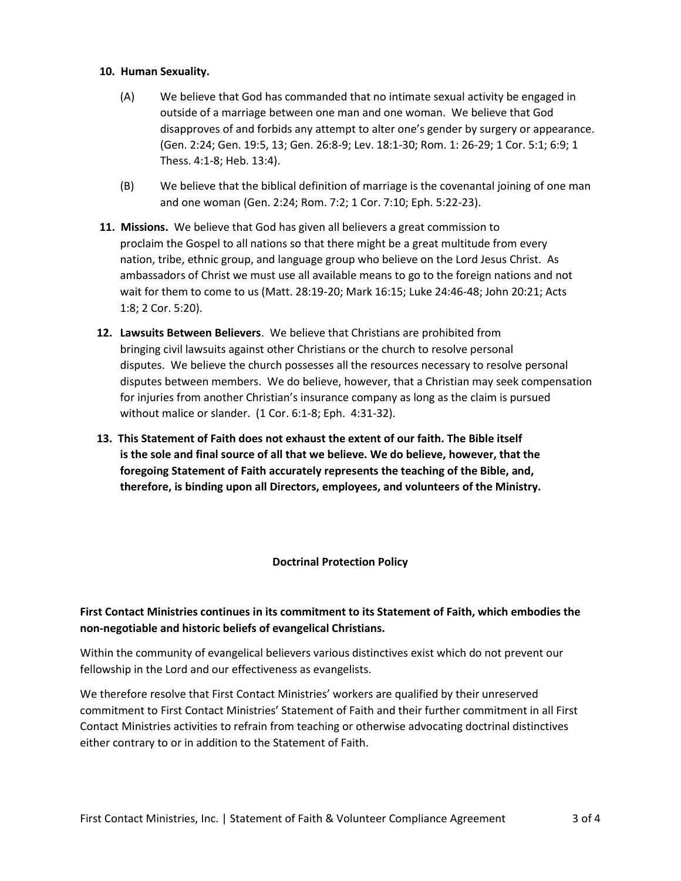#### **10. Human Sexuality.**

- (A) We believe that God has commanded that no intimate sexual activity be engaged in outside of a marriage between one man and one woman. We believe that God disapproves of and forbids any attempt to alter one's gender by surgery or appearance. (Gen. 2:24; Gen. 19:5, 13; Gen. 26:8-9; Lev. 18:1-30; Rom. 1: 26-29; 1 Cor. 5:1; 6:9; 1 Thess. 4:1-8; Heb. 13:4).
- (B) We believe that the biblical definition of marriage is the covenantal joining of one man and one woman (Gen. 2:24; Rom. 7:2; 1 Cor. 7:10; Eph. 5:22-23).
- **11. Missions.** We believe that God has given all believers a great commission to proclaim the Gospel to all nations so that there might be a great multitude from every nation, tribe, ethnic group, and language group who believe on the Lord Jesus Christ. As ambassadors of Christ we must use all available means to go to the foreign nations and not wait for them to come to us (Matt. 28:19-20; Mark 16:15; Luke 24:46-48; John 20:21; Acts 1:8; 2 Cor. 5:20).
- **12. Lawsuits Between Believers**. We believe that Christians are prohibited from bringing civil lawsuits against other Christians or the church to resolve personal disputes. We believe the church possesses all the resources necessary to resolve personal disputes between members. We do believe, however, that a Christian may seek compensation for injuries from another Christian's insurance company as long as the claim is pursued without malice or slander. (1 Cor. 6:1-8; Eph. 4:31-32).
- **13. This Statement of Faith does not exhaust the extent of our faith. The Bible itself is the sole and final source of all that we believe. We do believe, however, that the foregoing Statement of Faith accurately represents the teaching of the Bible, and, therefore, is binding upon all Directors, employees, and volunteers of the Ministry.**

## **Doctrinal Protection Policy**

# **First Contact Ministries continues in its commitment to its Statement of Faith, which embodies the non-negotiable and historic beliefs of evangelical Christians.**

Within the community of evangelical believers various distinctives exist which do not prevent our fellowship in the Lord and our effectiveness as evangelists.

We therefore resolve that First Contact Ministries' workers are qualified by their unreserved commitment to First Contact Ministries' Statement of Faith and their further commitment in all First Contact Ministries activities to refrain from teaching or otherwise advocating doctrinal distinctives either contrary to or in addition to the Statement of Faith.